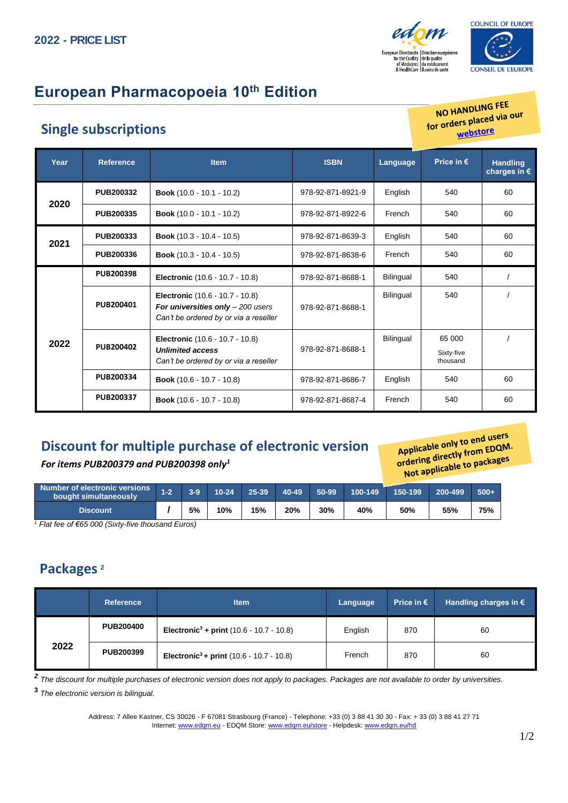



## **European Pharmacopoeia 10th Edition**

#### **Single subscriptions**

NO HANDLING FEE NO HANDLING TEEP OUT webstore

| Year | <b>Reference</b> | <b>Item</b>                                                                                                           | <b>ISBN</b>       | Language  | Price in $\epsilon$              | <b>Handling</b><br>charges in $\epsilon$ |
|------|------------------|-----------------------------------------------------------------------------------------------------------------------|-------------------|-----------|----------------------------------|------------------------------------------|
|      | <b>PUB200332</b> | <b>Book</b> (10.0 - 10.1 - 10.2)                                                                                      | 978-92-871-8921-9 | English   | 540                              | 60                                       |
| 2020 | PUB200335        | <b>Book</b> (10.0 - 10.1 - 10.2)                                                                                      | 978-92-871-8922-6 | French    | 540                              | 60                                       |
| 2021 | PUB200333        | <b>Book</b> $(10.3 - 10.4 - 10.5)$                                                                                    | 978-92-871-8639-3 | English   | 540                              | 60                                       |
|      | PUB200336        | <b>Book</b> (10.3 - 10.4 - 10.5)                                                                                      | 978-92-871-8638-6 | French    | 540                              | 60                                       |
|      | PUB200398        | <b>Electronic</b> (10.6 - 10.7 - 10.8)                                                                                | 978-92-871-8688-1 | Bilingual | 540                              |                                          |
| 2022 | PUB200401        | <b>Electronic</b> (10.6 - 10.7 - 10.8)<br>For universities only $-200$ users<br>Can't be ordered by or via a reseller | 978-92-871-8688-1 | Bilingual | 540                              |                                          |
|      | PUB200402        | <b>Electronic</b> (10.6 - 10.7 - 10.8)<br><b>Unlimited access</b><br>Can't be ordered by or via a reseller            | 978-92-871-8688-1 | Bilingual | 65 000<br>Sixty-five<br>thousand |                                          |
|      | PUB200334        | <b>Book</b> (10.6 - 10.7 - 10.8)                                                                                      | 978-92-871-8686-7 | English   | 540                              | 60                                       |
|      | PUB200337        | <b>Book</b> (10.6 - 10.7 - 10.8)                                                                                      | 978-92-871-8687-4 | French    | 540                              | 60                                       |

### **Discount for multiple purchase of electronic version**

*For items PUB200379 and PUB200398 only<sup>1</sup>*

Applicable only to end users Applicable only to end users<br>ordering directly from EDQM. rdering directly from LDC<br>rdering directly from LDC<br>Not applicable to packages

| Number of electronic versions<br>bought simultaneously | $1 - 2$ | $3-9$ | 10-24 | $25 - 39$ | 40-49 | 50-99 | 100-149 | 150-199 | 200-499 | $500+$ |
|--------------------------------------------------------|---------|-------|-------|-----------|-------|-------|---------|---------|---------|--------|
| <b>Discount</b>                                        |         | 5%    | 10%   | 15%       | 20%   | 30%   | 40%     | 50%     | 55%     | 75%    |

*<sup>1</sup> Flat fee of €65 000 (Sixty-five thousand Euros)*

#### **Packages <sup>2</sup>**

|      | <b>Reference</b> | <b>Item</b>                                                  | Language | Price in $\epsilon$ | Handling charges in $\epsilon$ |
|------|------------------|--------------------------------------------------------------|----------|---------------------|--------------------------------|
| 2022 | <b>PUB200400</b> | <b>Electronic<sup>3</sup></b> + print $(10.6 - 10.7 - 10.8)$ | English  | 870                 | 60                             |
|      | <b>PUB200399</b> | Electronic <sup>3</sup> + print $(10.6 - 10.7 - 10.8)$       | French   | 870                 | 60                             |

*2 The discount for multiple purchases of electronic version does not apply to packages. Packages are not available to order by universities.*

**3** *The electronic version is bilingual.*

Address: 7 Allee Kastner, CS 30026 - F 67081 Strasbourg (France) - Telephone: +33 (0) 3 88 41 30 30 - Fax: + 33 (0) 3 88 41 27 71 Internet: [www.edqm.eu](https://www.edqm.eu/en) - EDQM Store[: www.edqm.eu/store](https://store.edqm.eu/index.html) - Helpdesk[: www.edqm.eu/hd](http://www.edqm.eu/hd)